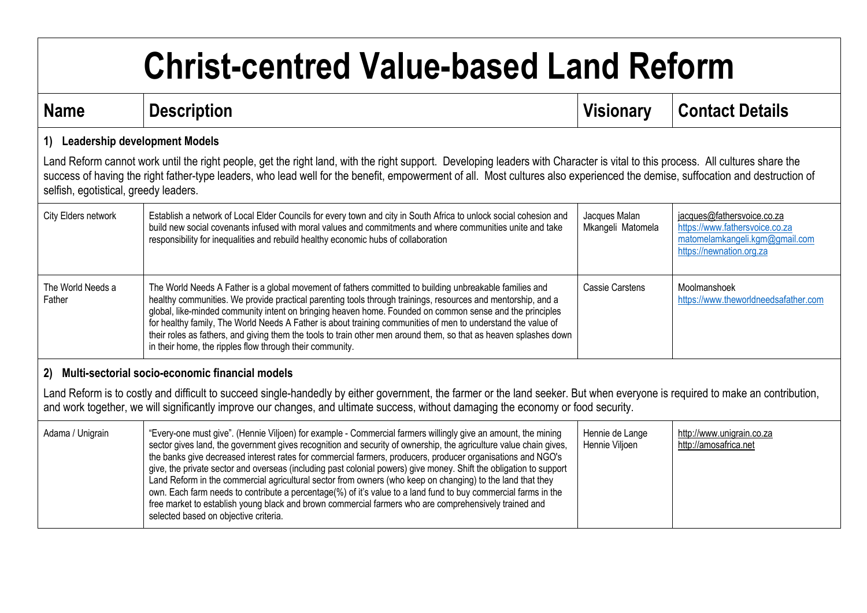## **Christ-centred Value-based Land Reform**

| <b>Name</b>                                                                                                                                                                                                                                                                                                                                                                                              | <b>Description</b>                                                                                                                                                                                                                                                                                                                                                                                                                                                                                                                                                                                                                                                                                                                                                                                                                                        | <b>Visionary</b>                   | <b>Contact Details</b>                                                                                                     |
|----------------------------------------------------------------------------------------------------------------------------------------------------------------------------------------------------------------------------------------------------------------------------------------------------------------------------------------------------------------------------------------------------------|-----------------------------------------------------------------------------------------------------------------------------------------------------------------------------------------------------------------------------------------------------------------------------------------------------------------------------------------------------------------------------------------------------------------------------------------------------------------------------------------------------------------------------------------------------------------------------------------------------------------------------------------------------------------------------------------------------------------------------------------------------------------------------------------------------------------------------------------------------------|------------------------------------|----------------------------------------------------------------------------------------------------------------------------|
| <b>Leadership development Models</b><br>1)                                                                                                                                                                                                                                                                                                                                                               |                                                                                                                                                                                                                                                                                                                                                                                                                                                                                                                                                                                                                                                                                                                                                                                                                                                           |                                    |                                                                                                                            |
| Land Reform cannot work until the right people, get the right land, with the right support. Developing leaders with Character is vital to this process. All cultures share the<br>success of having the right father-type leaders, who lead well for the benefit, empowerment of all. Most cultures also experienced the demise, suffocation and destruction of<br>selfish, egotistical, greedy leaders. |                                                                                                                                                                                                                                                                                                                                                                                                                                                                                                                                                                                                                                                                                                                                                                                                                                                           |                                    |                                                                                                                            |
| City Elders network                                                                                                                                                                                                                                                                                                                                                                                      | Establish a network of Local Elder Councils for every town and city in South Africa to unlock social cohesion and<br>build new social covenants infused with moral values and commitments and where communities unite and take<br>responsibility for inequalities and rebuild healthy economic hubs of collaboration                                                                                                                                                                                                                                                                                                                                                                                                                                                                                                                                      | Jacques Malan<br>Mkangeli Matomela | jacques@fathersvoice.co.za<br>https://www.fathersvoice.co.za<br>matomelamkangeli.kgm@gmail.com<br>https://newnation.org.za |
| The World Needs a<br>Father                                                                                                                                                                                                                                                                                                                                                                              | The World Needs A Father is a global movement of fathers committed to building unbreakable families and<br>healthy communities. We provide practical parenting tools through trainings, resources and mentorship, and a<br>global, like-minded community intent on bringing heaven home. Founded on common sense and the principles<br>for healthy family, The World Needs A Father is about training communities of men to understand the value of<br>their roles as fathers, and giving them the tools to train other men around them, so that as heaven splashes down<br>in their home, the ripples flow through their community.                                                                                                                                                                                                                      | <b>Cassie Carstens</b>             | Moolmanshoek<br>https://www.theworldneedsafather.com                                                                       |
| Multi-sectorial socio-economic financial models<br>2)                                                                                                                                                                                                                                                                                                                                                    |                                                                                                                                                                                                                                                                                                                                                                                                                                                                                                                                                                                                                                                                                                                                                                                                                                                           |                                    |                                                                                                                            |
| Land Reform is to costly and difficult to succeed single-handedly by either government, the farmer or the land seeker. But when everyone is required to make an contribution,<br>and work together, we will significantly improve our changes, and ultimate success, without damaging the economy or food security.                                                                                      |                                                                                                                                                                                                                                                                                                                                                                                                                                                                                                                                                                                                                                                                                                                                                                                                                                                           |                                    |                                                                                                                            |
| Adama / Unigrain                                                                                                                                                                                                                                                                                                                                                                                         | "Every-one must give". (Hennie Viljoen) for example - Commercial farmers willingly give an amount, the mining<br>sector gives land, the government gives recognition and security of ownership, the agriculture value chain gives,<br>the banks give decreased interest rates for commercial farmers, producers, producer organisations and NGO's<br>give, the private sector and overseas (including past colonial powers) give money. Shift the obligation to support<br>Land Reform in the commercial agricultural sector from owners (who keep on changing) to the land that they<br>own. Each farm needs to contribute a percentage(%) of it's value to a land fund to buy commercial farms in the<br>free market to establish young black and brown commercial farmers who are comprehensively trained and<br>selected based on objective criteria. | Hennie de Lange<br>Hennie Viljoen  | http://www.unigrain.co.za<br>http://amosafrica.net                                                                         |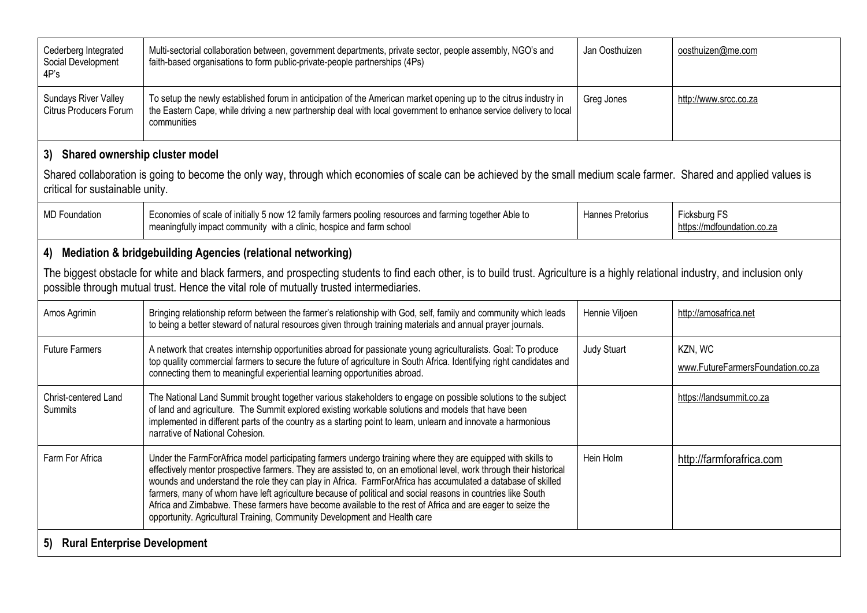| Cederberg Integrated<br>Social Development<br>4P's                                                                                                                                                                                                                           | Multi-sectorial collaboration between, government departments, private sector, people assembly, NGO's and<br>faith-based organisations to form public-private-people partnerships (4Ps)                                                                                                                                                                                                                                                                                                                                                                                                                                                                   | Jan Oosthuizen     | oosthuizen@me.com                            |  |
|------------------------------------------------------------------------------------------------------------------------------------------------------------------------------------------------------------------------------------------------------------------------------|-----------------------------------------------------------------------------------------------------------------------------------------------------------------------------------------------------------------------------------------------------------------------------------------------------------------------------------------------------------------------------------------------------------------------------------------------------------------------------------------------------------------------------------------------------------------------------------------------------------------------------------------------------------|--------------------|----------------------------------------------|--|
| <b>Sundays River Valley</b><br><b>Citrus Producers Forum</b>                                                                                                                                                                                                                 | To setup the newly established forum in anticipation of the American market opening up to the citrus industry in<br>the Eastern Cape, while driving a new partnership deal with local government to enhance service delivery to local<br>communities                                                                                                                                                                                                                                                                                                                                                                                                      | Greg Jones         | http://www.srcc.co.za                        |  |
| 3) Shared ownership cluster model                                                                                                                                                                                                                                            |                                                                                                                                                                                                                                                                                                                                                                                                                                                                                                                                                                                                                                                           |                    |                                              |  |
| Shared collaboration is going to become the only way, through which economies of scale can be achieved by the small medium scale farmer. Shared and applied values is<br>critical for sustainable unity.                                                                     |                                                                                                                                                                                                                                                                                                                                                                                                                                                                                                                                                                                                                                                           |                    |                                              |  |
| <b>MD Foundation</b>                                                                                                                                                                                                                                                         | Economies of scale of initially 5 now 12 family farmers pooling resources and farming together Able to<br>meaningfully impact community with a clinic, hospice and farm school                                                                                                                                                                                                                                                                                                                                                                                                                                                                            | Hannes Pretorius   | Ficksburg FS<br>https://mdfoundation.co.za   |  |
| 4) Mediation & bridgebuilding Agencies (relational networking)                                                                                                                                                                                                               |                                                                                                                                                                                                                                                                                                                                                                                                                                                                                                                                                                                                                                                           |                    |                                              |  |
| The biggest obstacle for white and black farmers, and prospecting students to find each other, is to build trust. Agriculture is a highly relational industry, and inclusion only<br>possible through mutual trust. Hence the vital role of mutually trusted intermediaries. |                                                                                                                                                                                                                                                                                                                                                                                                                                                                                                                                                                                                                                                           |                    |                                              |  |
| Amos Agrimin                                                                                                                                                                                                                                                                 | Bringing relationship reform between the farmer's relationship with God, self, family and community which leads<br>to being a better steward of natural resources given through training materials and annual prayer journals.                                                                                                                                                                                                                                                                                                                                                                                                                            | Hennie Viljoen     | http://amosafrica.net                        |  |
| <b>Future Farmers</b>                                                                                                                                                                                                                                                        | A network that creates internship opportunities abroad for passionate young agriculturalists. Goal: To produce<br>top quality commercial farmers to secure the future of agriculture in South Africa. Identifying right candidates and<br>connecting them to meaningful experiential learning opportunities abroad.                                                                                                                                                                                                                                                                                                                                       | <b>Judy Stuart</b> | KZN, WC<br>www.FutureFarmersFoundation.co.za |  |
| Christ-centered Land<br>Summits                                                                                                                                                                                                                                              | The National Land Summit brought together various stakeholders to engage on possible solutions to the subject<br>of land and agriculture. The Summit explored existing workable solutions and models that have been<br>implemented in different parts of the country as a starting point to learn, unlearn and innovate a harmonious<br>narrative of National Cohesion.                                                                                                                                                                                                                                                                                   |                    | https://landsummit.co.za                     |  |
| Farm For Africa                                                                                                                                                                                                                                                              | Under the FarmForAfrica model participating farmers undergo training where they are equipped with skills to<br>effectively mentor prospective farmers. They are assisted to, on an emotional level, work through their historical<br>wounds and understand the role they can play in Africa. FarmForAfrica has accumulated a database of skilled<br>farmers, many of whom have left agriculture because of political and social reasons in countries like South<br>Africa and Zimbabwe. These farmers have become available to the rest of Africa and are eager to seize the<br>opportunity. Agricultural Training, Community Development and Health care | Hein Holm          | http://farmforafrica.com                     |  |
| <b>Rural Enterprise Development</b><br>5)                                                                                                                                                                                                                                    |                                                                                                                                                                                                                                                                                                                                                                                                                                                                                                                                                                                                                                                           |                    |                                              |  |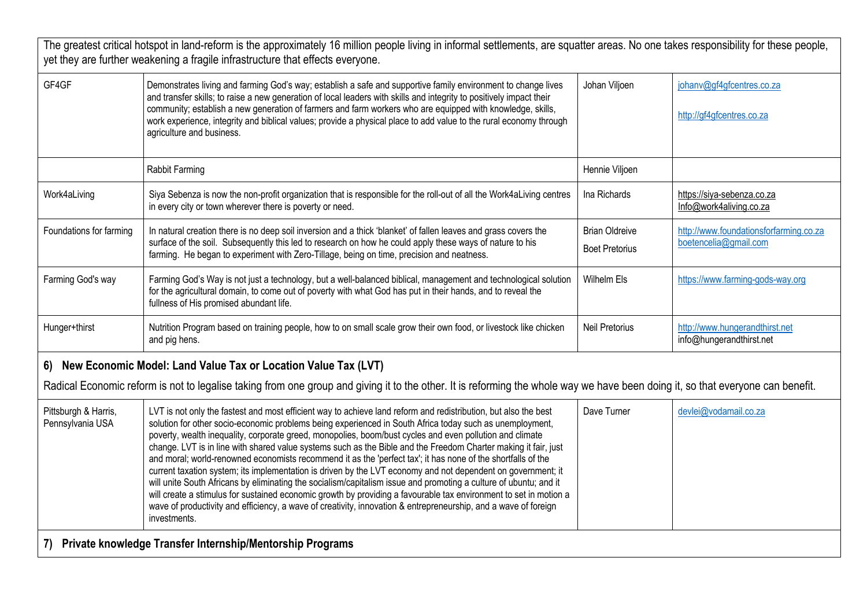| The greatest critical hotspot in land-reform is the approximately 16 million people living in informal settlements, are squatter areas. No one takes responsibility for these people,<br>yet they are further weakening a fragile infrastructure that effects everyone. |                                                                                                                                                                                                                                                                                                                                                                                                                                                                                                                                                                                                                                                                                                                                                                                                                                                                                                                                                                                                                                                                         |                                                |                                                                 |
|-------------------------------------------------------------------------------------------------------------------------------------------------------------------------------------------------------------------------------------------------------------------------|-------------------------------------------------------------------------------------------------------------------------------------------------------------------------------------------------------------------------------------------------------------------------------------------------------------------------------------------------------------------------------------------------------------------------------------------------------------------------------------------------------------------------------------------------------------------------------------------------------------------------------------------------------------------------------------------------------------------------------------------------------------------------------------------------------------------------------------------------------------------------------------------------------------------------------------------------------------------------------------------------------------------------------------------------------------------------|------------------------------------------------|-----------------------------------------------------------------|
| GF4GF                                                                                                                                                                                                                                                                   | Demonstrates living and farming God's way; establish a safe and supportive family environment to change lives<br>and transfer skills; to raise a new generation of local leaders with skills and integrity to positively impact their<br>community; establish a new generation of farmers and farm workers who are equipped with knowledge, skills,<br>work experience, integrity and biblical values; provide a physical place to add value to the rural economy through<br>agriculture and business.                                                                                                                                                                                                                                                                                                                                                                                                                                                                                                                                                                  | Johan Viljoen                                  | johanv@gf4gfcentres.co.za<br>http://gf4gfcentres.co.za          |
|                                                                                                                                                                                                                                                                         | Rabbit Farming                                                                                                                                                                                                                                                                                                                                                                                                                                                                                                                                                                                                                                                                                                                                                                                                                                                                                                                                                                                                                                                          | Hennie Viljoen                                 |                                                                 |
| Work4aLiving                                                                                                                                                                                                                                                            | Siya Sebenza is now the non-profit organization that is responsible for the roll-out of all the Work4aLiving centres<br>in every city or town wherever there is poverty or need.                                                                                                                                                                                                                                                                                                                                                                                                                                                                                                                                                                                                                                                                                                                                                                                                                                                                                        | Ina Richards                                   | https://siya-sebenza.co.za<br>Info@work4aliving.co.za           |
| Foundations for farming                                                                                                                                                                                                                                                 | In natural creation there is no deep soil inversion and a thick 'blanket' of fallen leaves and grass covers the<br>surface of the soil. Subsequently this led to research on how he could apply these ways of nature to his<br>farming. He began to experiment with Zero-Tillage, being on time, precision and neatness.                                                                                                                                                                                                                                                                                                                                                                                                                                                                                                                                                                                                                                                                                                                                                | <b>Brian Oldreive</b><br><b>Boet Pretorius</b> | http://www.foundationsforfarming.co.za<br>boetencelia@gmail.com |
| Farming God's way                                                                                                                                                                                                                                                       | Farming God's Way is not just a technology, but a well-balanced biblical, management and technological solution<br>for the agricultural domain, to come out of poverty with what God has put in their hands, and to reveal the<br>fullness of His promised abundant life.                                                                                                                                                                                                                                                                                                                                                                                                                                                                                                                                                                                                                                                                                                                                                                                               | Wilhelm Els                                    | https://www.farming-gods-way.org                                |
| Hunger+thirst                                                                                                                                                                                                                                                           | Nutrition Program based on training people, how to on small scale grow their own food, or livestock like chicken<br>and pig hens.                                                                                                                                                                                                                                                                                                                                                                                                                                                                                                                                                                                                                                                                                                                                                                                                                                                                                                                                       | <b>Neil Pretorius</b>                          | http://www.hungerandthirst.net<br>info@hungerandthirst.net      |
| 6) New Economic Model: Land Value Tax or Location Value Tax (LVT)                                                                                                                                                                                                       |                                                                                                                                                                                                                                                                                                                                                                                                                                                                                                                                                                                                                                                                                                                                                                                                                                                                                                                                                                                                                                                                         |                                                |                                                                 |
| Radical Economic reform is not to legalise taking from one group and giving it to the other. It is reforming the whole way we have been doing it, so that everyone can benefit.                                                                                         |                                                                                                                                                                                                                                                                                                                                                                                                                                                                                                                                                                                                                                                                                                                                                                                                                                                                                                                                                                                                                                                                         |                                                |                                                                 |
| Pittsburgh & Harris,<br>Pennsylvania USA                                                                                                                                                                                                                                | LVT is not only the fastest and most efficient way to achieve land reform and redistribution, but also the best<br>solution for other socio-economic problems being experienced in South Africa today such as unemployment,<br>poverty, wealth inequality, corporate greed, monopolies, boom/bust cycles and even pollution and climate<br>change. LVT is in line with shared value systems such as the Bible and the Freedom Charter making it fair, just<br>and moral; world-renowned economists recommend it as the 'perfect tax'; it has none of the shortfalls of the<br>current taxation system; its implementation is driven by the LVT economy and not dependent on government; it<br>will unite South Africans by eliminating the socialism/capitalism issue and promoting a culture of ubuntu; and it<br>will create a stimulus for sustained economic growth by providing a favourable tax environment to set in motion a<br>wave of productivity and efficiency, a wave of creativity, innovation & entrepreneurship, and a wave of foreign<br>investments. | Dave Turner                                    | devlei@vodamail.co.za                                           |
| 7) Private knowledge Transfer Internship/Mentorship Programs                                                                                                                                                                                                            |                                                                                                                                                                                                                                                                                                                                                                                                                                                                                                                                                                                                                                                                                                                                                                                                                                                                                                                                                                                                                                                                         |                                                |                                                                 |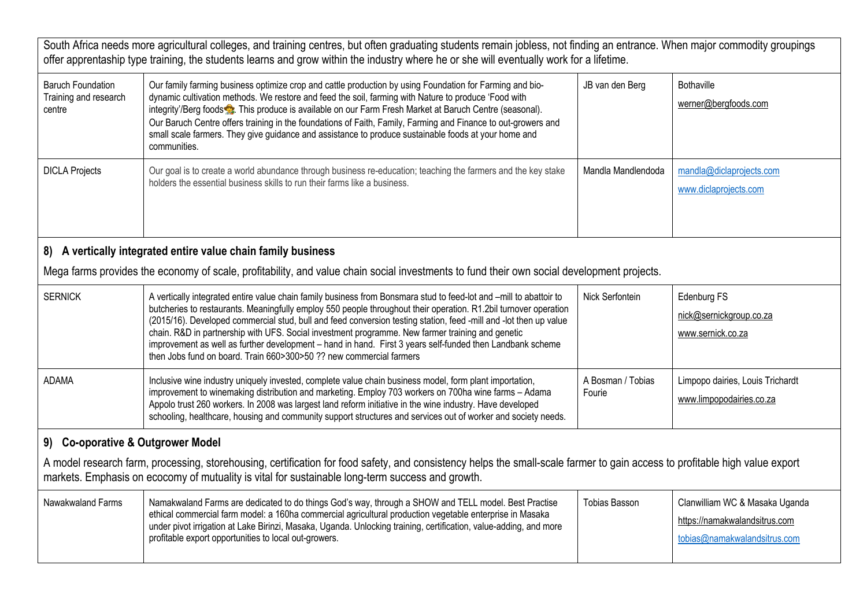| South Africa needs more agricultural colleges, and training centres, but often graduating students remain jobless, not finding an entrance. When major commodity groupings<br>offer apprentaship type training, the students learns and grow within the industry where he or she will eventually work for a lifetime. |                                                                                                                                                                                                                                                                                                                                                                                                                                                                                                                                                                                                                                                     |                             |                                                                                                 |
|-----------------------------------------------------------------------------------------------------------------------------------------------------------------------------------------------------------------------------------------------------------------------------------------------------------------------|-----------------------------------------------------------------------------------------------------------------------------------------------------------------------------------------------------------------------------------------------------------------------------------------------------------------------------------------------------------------------------------------------------------------------------------------------------------------------------------------------------------------------------------------------------------------------------------------------------------------------------------------------------|-----------------------------|-------------------------------------------------------------------------------------------------|
| <b>Baruch Foundation</b><br>Training and research<br>centre                                                                                                                                                                                                                                                           | Our family farming business optimize crop and cattle production by using Foundation for Farming and bio-<br>dynamic cultivation methods. We restore and feed the soil, farming with Nature to produce 'Food with<br>integrity'/Berg foods <b>2</b> . This produce is available on our Farm Fresh Market at Baruch Centre (seasonal).<br>Our Baruch Centre offers training in the foundations of Faith, Family, Farming and Finance to out-growers and<br>small scale farmers. They give guidance and assistance to produce sustainable foods at your home and<br>communities.                                                                       | JB van den Berg             | <b>Bothaville</b><br>werner@bergfoods.com                                                       |
| <b>DICLA Projects</b>                                                                                                                                                                                                                                                                                                 | Our goal is to create a world abundance through business re-education; teaching the farmers and the key stake<br>holders the essential business skills to run their farms like a business.                                                                                                                                                                                                                                                                                                                                                                                                                                                          | Mandla Mandlendoda          | mandla@diclaprojects.com<br>www.diclaprojects.com                                               |
| 8) A vertically integrated entire value chain family business                                                                                                                                                                                                                                                         |                                                                                                                                                                                                                                                                                                                                                                                                                                                                                                                                                                                                                                                     |                             |                                                                                                 |
| Mega farms provides the economy of scale, profitability, and value chain social investments to fund their own social development projects.                                                                                                                                                                            |                                                                                                                                                                                                                                                                                                                                                                                                                                                                                                                                                                                                                                                     |                             |                                                                                                 |
| <b>SERNICK</b>                                                                                                                                                                                                                                                                                                        | A vertically integrated entire value chain family business from Bonsmara stud to feed-lot and -mill to abattoir to<br>butcheries to restaurants. Meaningfully employ 550 people throughout their operation. R1.2bil turnover operation<br>(2015/16). Developed commercial stud, bull and feed conversion testing station, feed -mill and -lot then up value<br>chain. R&D in partnership with UFS. Social investment programme. New farmer training and genetic<br>improvement as well as further development - hand in hand. First 3 years self-funded then Landbank scheme<br>then Jobs fund on board. Train 660>300>50 ?? new commercial farmers | Nick Serfontein             | Edenburg FS<br>nick@sernickgroup.co.za<br>www.sernick.co.za                                     |
| <b>ADAMA</b>                                                                                                                                                                                                                                                                                                          | Inclusive wine industry uniquely invested, complete value chain business model, form plant importation,<br>improvement to winemaking distribution and marketing. Employ 703 workers on 700ha wine farms - Adama<br>Appolo trust 260 workers. In 2008 was largest land reform initiative in the wine industry. Have developed<br>schooling, healthcare, housing and community support structures and services out of worker and society needs.                                                                                                                                                                                                       | A Bosman / Tobias<br>Fourie | Limpopo dairies, Louis Trichardt<br>www.limpopodairies.co.za                                    |
| 9) Co-oporative & Outgrower Model                                                                                                                                                                                                                                                                                     |                                                                                                                                                                                                                                                                                                                                                                                                                                                                                                                                                                                                                                                     |                             |                                                                                                 |
| A model research farm, processing, storehousing, certification for food safety, and consistency helps the small-scale farmer to gain access to profitable high value export<br>markets. Emphasis on ecocomy of mutuality is vital for sustainable long-term success and growth.                                       |                                                                                                                                                                                                                                                                                                                                                                                                                                                                                                                                                                                                                                                     |                             |                                                                                                 |
| Nawakwaland Farms                                                                                                                                                                                                                                                                                                     | Namakwaland Farms are dedicated to do things God's way, through a SHOW and TELL model. Best Practise<br>ethical commercial farm model: a 160ha commercial agricultural production vegetable enterprise in Masaka<br>under pivot irrigation at Lake Birinzi, Masaka, Uganda. Unlocking training, certification, value-adding, and more<br>profitable export opportunities to local out-growers.                                                                                                                                                                                                                                                      | <b>Tobias Basson</b>        | Clanwilliam WC & Masaka Uganda<br>https://namakwalandsitrus.com<br>tobias@namakwalandsitrus.com |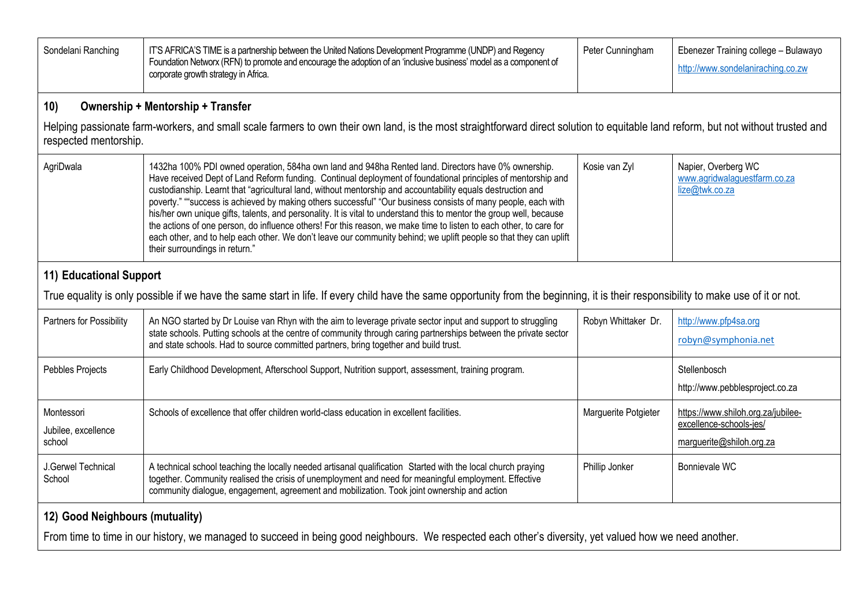| Sondelani Ranching                                                                                                                                                                                         | IT'S AFRICA'S TIME is a partnership between the United Nations Development Programme (UNDP) and Regency<br>Foundation Networx (RFN) to promote and encourage the adoption of an 'inclusive business' model as a component of<br>corporate growth strategy in Africa.                                                                                                                                                                                                                                                                                                                                                                                                                                                                                                                                                                                     | Peter Cunningham     | Ebenezer Training college - Bulawayo<br>http://www.sondelaniraching.co.zw                 |
|------------------------------------------------------------------------------------------------------------------------------------------------------------------------------------------------------------|----------------------------------------------------------------------------------------------------------------------------------------------------------------------------------------------------------------------------------------------------------------------------------------------------------------------------------------------------------------------------------------------------------------------------------------------------------------------------------------------------------------------------------------------------------------------------------------------------------------------------------------------------------------------------------------------------------------------------------------------------------------------------------------------------------------------------------------------------------|----------------------|-------------------------------------------------------------------------------------------|
| 10)                                                                                                                                                                                                        | <b>Ownership + Mentorship + Transfer</b>                                                                                                                                                                                                                                                                                                                                                                                                                                                                                                                                                                                                                                                                                                                                                                                                                 |                      |                                                                                           |
| Helping passionate farm-workers, and small scale farmers to own their own land, is the most straightforward direct solution to equitable land reform, but not without trusted and<br>respected mentorship. |                                                                                                                                                                                                                                                                                                                                                                                                                                                                                                                                                                                                                                                                                                                                                                                                                                                          |                      |                                                                                           |
| AgriDwala                                                                                                                                                                                                  | 1432ha 100% PDI owned operation, 584ha own land and 948ha Rented land. Directors have 0% ownership.<br>Have received Dept of Land Reform funding. Continual deployment of foundational principles of mentorship and<br>custodianship. Learnt that "agricultural land, without mentorship and accountability equals destruction and<br>poverty." ""success is achieved by making others successful" "Our business consists of many people, each with<br>his/her own unique gifts, talents, and personality. It is vital to understand this to mentor the group well, because<br>the actions of one person, do influence others! For this reason, we make time to listen to each other, to care for<br>each other, and to help each other. We don't leave our community behind; we uplift people so that they can uplift<br>their surroundings in return." | Kosie van Zyl        | Napier, Overberg WC<br>www.agridwalaguestfarm.co.za<br>lize@twk.co.za                     |
| 11) Educational Support                                                                                                                                                                                    |                                                                                                                                                                                                                                                                                                                                                                                                                                                                                                                                                                                                                                                                                                                                                                                                                                                          |                      |                                                                                           |
| True equality is only possible if we have the same start in life. If every child have the same opportunity from the beginning, it is their responsibility to make use of it or not.                        |                                                                                                                                                                                                                                                                                                                                                                                                                                                                                                                                                                                                                                                                                                                                                                                                                                                          |                      |                                                                                           |
| Partners for Possibility                                                                                                                                                                                   | An NGO started by Dr Louise van Rhyn with the aim to leverage private sector input and support to struggling<br>state schools. Putting schools at the centre of community through caring partnerships between the private sector<br>and state schools. Had to source committed partners, bring together and build trust.                                                                                                                                                                                                                                                                                                                                                                                                                                                                                                                                 | Robyn Whittaker Dr.  | http://www.pfp4sa.org<br>robyn@symphonia.net                                              |
| Pebbles Projects                                                                                                                                                                                           | Early Childhood Development, Afterschool Support, Nutrition support, assessment, training program.                                                                                                                                                                                                                                                                                                                                                                                                                                                                                                                                                                                                                                                                                                                                                       |                      | Stellenbosch<br>http://www.pebblesproject.co.za                                           |
| Montessori<br>Jubilee, excellence<br>school                                                                                                                                                                | Schools of excellence that offer children world-class education in excellent facilities.                                                                                                                                                                                                                                                                                                                                                                                                                                                                                                                                                                                                                                                                                                                                                                 | Marguerite Potgieter | https://www.shiloh.org.za/jubilee-<br>excellence-schools-jes/<br>marguerite@shiloh.org.za |
| J.Gerwel Technical<br>School                                                                                                                                                                               | A technical school teaching the locally needed artisanal qualification Started with the local church praying<br>together. Community realised the crisis of unemployment and need for meaningful employment. Effective<br>community dialogue, engagement, agreement and mobilization. Took joint ownership and action                                                                                                                                                                                                                                                                                                                                                                                                                                                                                                                                     | Phillip Jonker       | Bonnievale WC                                                                             |
| 12) Good Neighbours (mutuality)                                                                                                                                                                            |                                                                                                                                                                                                                                                                                                                                                                                                                                                                                                                                                                                                                                                                                                                                                                                                                                                          |                      |                                                                                           |
| From time to time in our history, we managed to succeed in being good neighbours. We respected each other's diversity, yet valued how we need another.                                                     |                                                                                                                                                                                                                                                                                                                                                                                                                                                                                                                                                                                                                                                                                                                                                                                                                                                          |                      |                                                                                           |